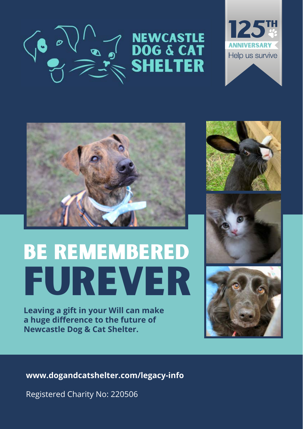





# Be remembered furever

**Leaving a gift in your Will can make a huge difference to the future of Newcastle Dog & Cat Shelter.**







**www.dogandcatshelter.com/legacy-info**

Registered Charity No: 220506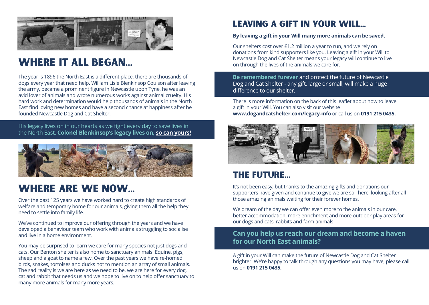

### Where it all began...

The year is 1896 the North East is a different place, there are thousands of dogs every year that need help. William Lisle Blenkinsop Coulson after leaving the army, became a prominent figure in Newcastle upon Tyne, he was an avid lover of animals and wrote numerous works against animal cruelty. His hard work and determination would help thousands of animals in the North East find loving new homes and have a second chance at happiness after he founded Newcastle Dog and Cat Shelter.

His legacy lives on in our hearts as we fight every day to save lives in the North East. **Colonel Blenkinsop's legacy lives on, so can yours!**



## Where are we now...

Over the past 125 years we have worked hard to create high standards of welfare and temporary home for our animals, giving them all the help they need to settle into family life.

We've continued to improve our offering through the years and we have developed a behaviour team who work with animals struggling to socialise and live in a home environment.

You may be surprised to learn we care for many species not just dogs and cats. Our Benton shelter is also home to sanctuary animals. Equine, pigs, sheep and a goat to name a few. Over the past years we have re-homed birds, snakes, tortoises and ducks not to mention an array of small animals. The sad reality is we are here as we need to be, we are here for every dog, cat and rabbit that needs us and we hope to live on to help offer sanctuary to many more animals for many more years.

### Leaving a gift in your will...

### **By leaving a gift in your Will many more animals can be saved.**

Our shelters cost over £1.2 million a year to run, and we rely on donations from kind supporters like you. Leaving a gift in your Will to Newcastle Dog and Cat Shelter means your legacy will continue to live on through the lives of the animals we care for.

**Be remembered furever** and protect the future of Newcastle Dog and Cat Shelter - any gift, large or small, will make a huge difference to our shelter.

There is more information on the back of this leaflet about how to leave a gift in your Will. You can also visit our website **www.dogandcatshelter.com/legacy-info** or call us on **0191 215 0435.** 



### The future...

It's not been easy, but thanks to the amazing gifts and donations our supporters have given and continue to give we are still here, looking after all those amazing animals waiting for their forever homes.

We dream of the day we can offer even more to the animals in our care. better accommodation, more enrichment and more outdoor play areas for our dogs and cats, rabbits and farm animals.

### **Can you help us reach our dream and become a haven for our North East animals?**

A gift in your Will can make the future of Newcastle Dog and Cat Shelter brighter. We're happy to talk through any questions you may have, please call us on **0191 215 0435.**